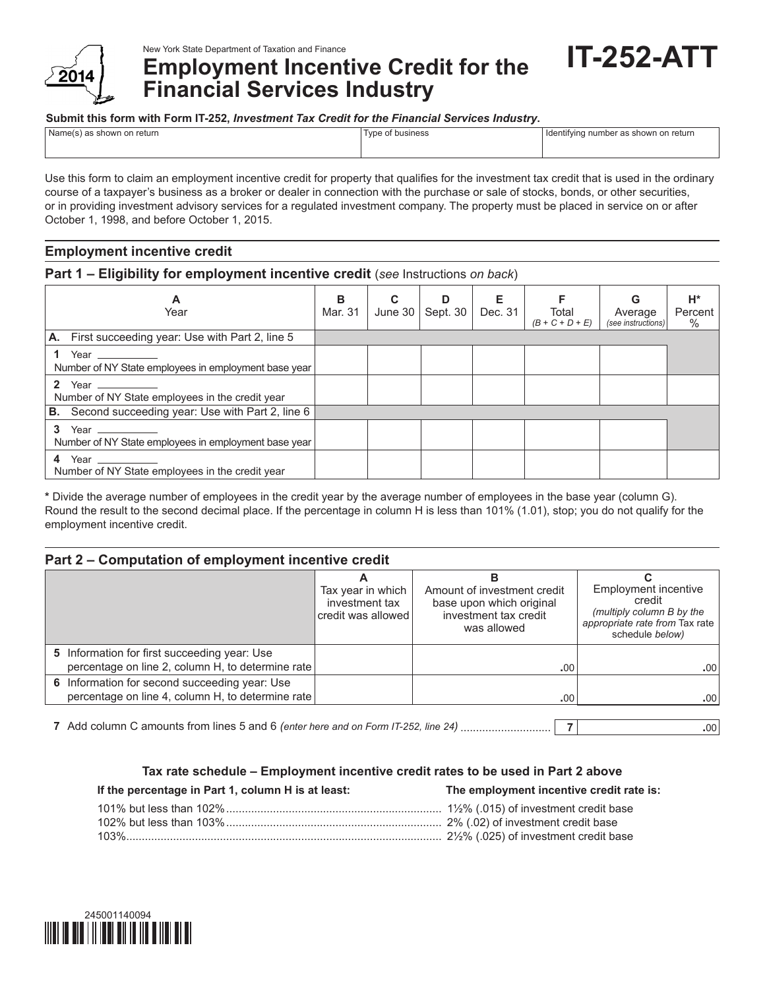

**Employment Incentive Credit for the Financial Services Industry**

**Submit this form with Form IT-252,** *Investment Tax Credit for the Financial Services Industry***.**

| Name(s) as shown on return | Type of business | I Identifying number as shown on return |
|----------------------------|------------------|-----------------------------------------|
|                            |                  |                                         |

Use this form to claim an employment incentive credit for property that qualifies for the investment tax credit that is used in the ordinary course of a taxpayer's business as a broker or dealer in connection with the purchase or sale of stocks, bonds, or other securities, or in providing investment advisory services for a regulated investment company. The property must be placed in service on or after October 1, 1998, and before October 1, 2015.

# **Employment incentive credit**

## **Part 1 – Eligibility for employment incentive credit** (*see* Instructions *on back*)

| A<br>Year                                                                                                                                                                                                                                                                                   | B<br>Mar. 31 | C<br>June 30 | D<br>Sept. 30 | Е<br>Dec. 31 | Total<br>$(B + C + D + E)$ | G<br>Average<br>(see instructions) | $H^*$<br>Percent<br>$\%$ |
|---------------------------------------------------------------------------------------------------------------------------------------------------------------------------------------------------------------------------------------------------------------------------------------------|--------------|--------------|---------------|--------------|----------------------------|------------------------------------|--------------------------|
| A. First succeeding year: Use with Part 2, line 5                                                                                                                                                                                                                                           |              |              |               |              |                            |                                    |                          |
| Number of NY State employees in employment base year                                                                                                                                                                                                                                        |              |              |               |              |                            |                                    |                          |
| $\mathbf{2}$<br>Year -<br>Number of NY State employees in the credit year                                                                                                                                                                                                                   |              |              |               |              |                            |                                    |                          |
| <b>B.</b> Second succeeding year: Use with Part 2, line 6                                                                                                                                                                                                                                   |              |              |               |              |                            |                                    |                          |
| 3<br>Year the control of the control of the control of the control of the control of the control of the control of the control of the control of the control of the control of the control of the control of the control of the con<br>Number of NY State employees in employment base year |              |              |               |              |                            |                                    |                          |
| 4<br>Year<br>Number of NY State employees in the credit year                                                                                                                                                                                                                                |              |              |               |              |                            |                                    |                          |

**\*** Divide the average number of employees in the credit year by the average number of employees in the base year (column G). Round the result to the second decimal place. If the percentage in column H is less than 101% (1.01), stop; you do not qualify for the employment incentive credit.

## **Part 2 – Computation of employment incentive credit**

|                                                                                                    | Tax year in which<br>investment tax<br>credit was allowed | Amount of investment credit<br>base upon which original<br>investment tax credit<br>was allowed | Employment incentive<br>credit<br>(multiply column B by the<br>appropriate rate from Tax rate<br>schedule below) |  |  |
|----------------------------------------------------------------------------------------------------|-----------------------------------------------------------|-------------------------------------------------------------------------------------------------|------------------------------------------------------------------------------------------------------------------|--|--|
| 5 Information for first succeeding year: Use<br>percentage on line 2, column H, to determine rate  |                                                           | .00                                                                                             | .00.                                                                                                             |  |  |
| 6 Information for second succeeding year: Use<br>percentage on line 4, column H, to determine rate |                                                           | .00                                                                                             | .00                                                                                                              |  |  |

**7** Add column C amounts from lines 5 and 6 *(enter here and on Form IT-252, line 24)* ............................. **7 .**00

## **Tax rate schedule – Employment incentive credit rates to be used in Part 2 above**

| If the percentage in Part 1, column H is at least: | The employment incentive credit rate is: |
|----------------------------------------------------|------------------------------------------|
|                                                    |                                          |
|                                                    |                                          |
|                                                    |                                          |